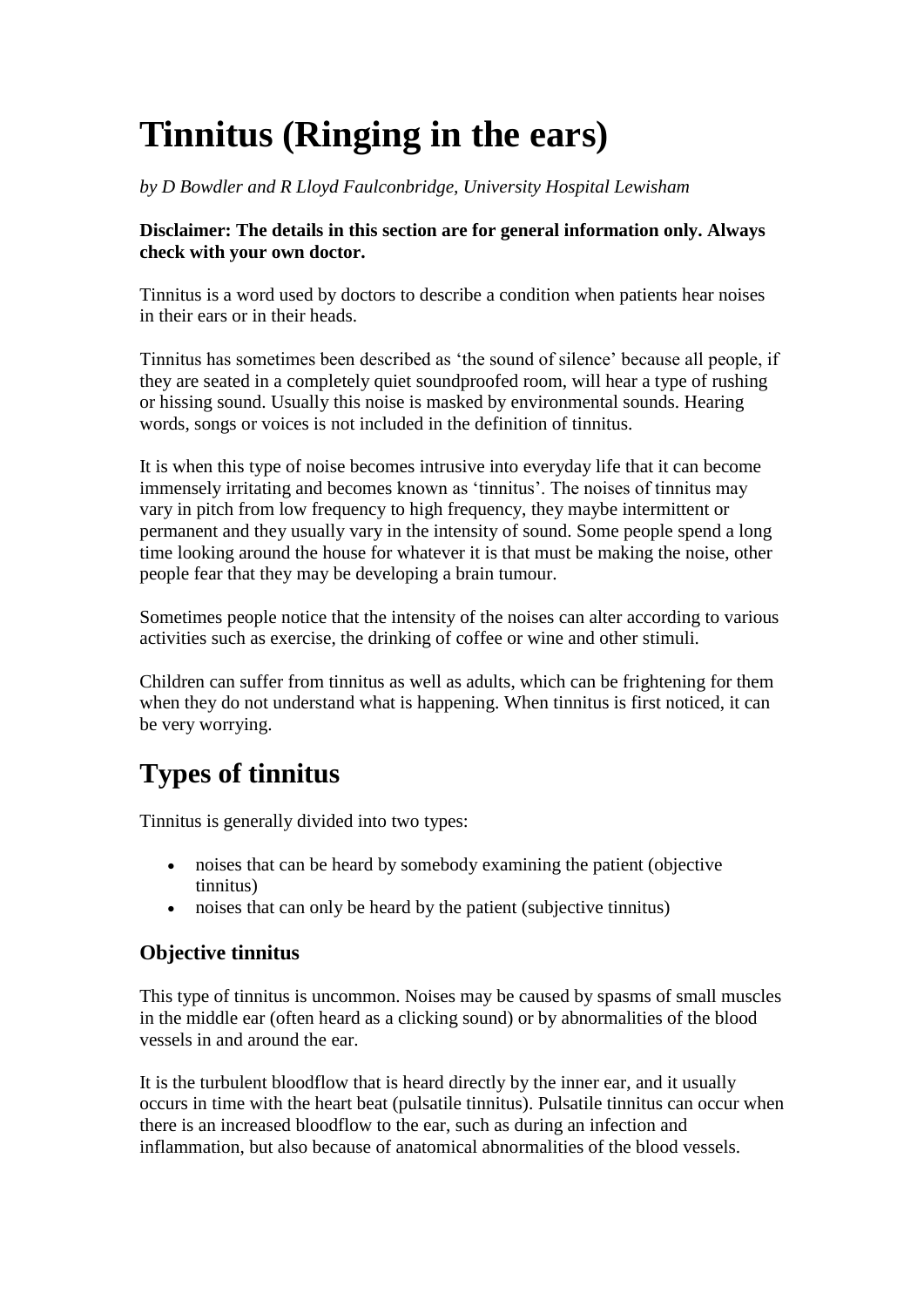# **Tinnitus (Ringing in the ears)**

#### *by D Bowdler and R Lloyd Faulconbridge, University Hospital Lewisham*

#### **Disclaimer: The details in this section are for general information only. Always check with your own doctor.**

Tinnitus is a word used by doctors to describe a condition when patients hear noises in their ears or in their heads.

Tinnitus has sometimes been described as 'the sound of silence' because all people, if they are seated in a completely quiet soundproofed room, will hear a type of rushing or hissing sound. Usually this noise is masked by environmental sounds. Hearing words, songs or voices is not included in the definition of tinnitus.

It is when this type of noise becomes intrusive into everyday life that it can become immensely irritating and becomes known as 'tinnitus'. The noises of tinnitus may vary in pitch from low frequency to high frequency, they maybe intermittent or permanent and they usually vary in the intensity of sound. Some people spend a long time looking around the house for whatever it is that must be making the noise, other people fear that they may be developing a brain tumour.

Sometimes people notice that the intensity of the noises can alter according to various activities such as exercise, the drinking of coffee or wine and other stimuli.

Children can suffer from tinnitus as well as adults, which can be frightening for them when they do not understand what is happening. When tinnitus is first noticed, it can be very worrying.

# **Types of tinnitus**

Tinnitus is generally divided into two types:

- noises that can be heard by somebody examining the patient (objective tinnitus)
- noises that can only be heard by the patient (subjective tinnitus)

### **Objective tinnitus**

This type of tinnitus is uncommon. Noises may be caused by spasms of small muscles in the middle ear (often heard as a clicking sound) or by abnormalities of the blood vessels in and around the ear.

It is the turbulent bloodflow that is heard directly by the inner ear, and it usually occurs in time with the heart beat (pulsatile tinnitus). Pulsatile tinnitus can occur when there is an increased bloodflow to the ear, such as during an infection and inflammation, but also because of anatomical abnormalities of the blood vessels.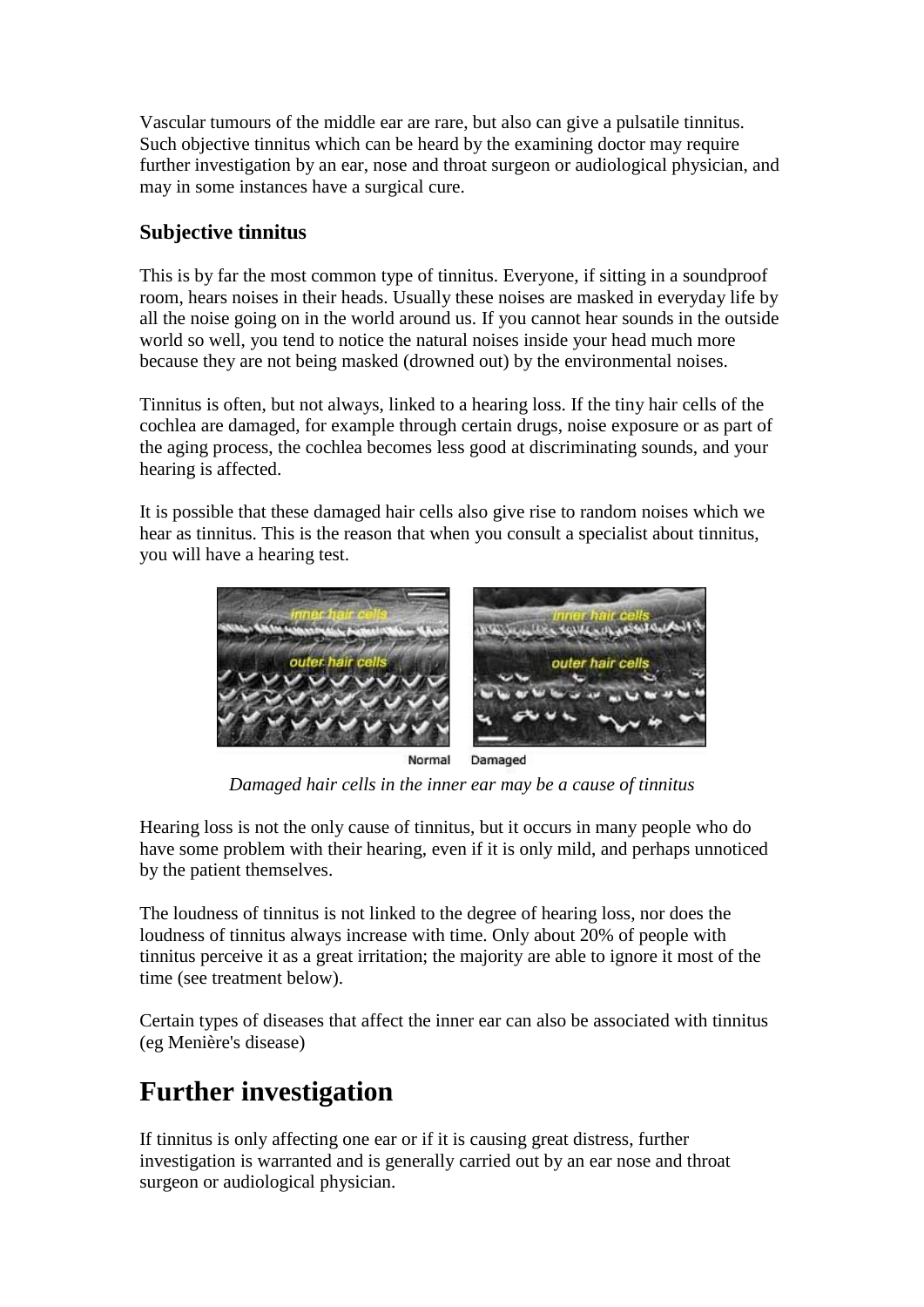Vascular tumours of the middle ear are rare, but also can give a pulsatile tinnitus. Such objective tinnitus which can be heard by the examining doctor may require further investigation by an ear, nose and throat surgeon or audiological physician, and may in some instances have a surgical cure.

### **Subjective tinnitus**

This is by far the most common type of tinnitus. Everyone, if sitting in a soundproof room, hears noises in their heads. Usually these noises are masked in everyday life by all the noise going on in the world around us. If you cannot hear sounds in the outside world so well, you tend to notice the natural noises inside your head much more because they are not being masked (drowned out) by the environmental noises.

Tinnitus is often, but not always, linked to a hearing loss. If the tiny hair cells of the cochlea are damaged, for example through certain drugs, noise exposure or as part of the aging process, the cochlea becomes less good at discriminating sounds, and your hearing is affected.

It is possible that these damaged hair cells also give rise to random noises which we hear as tinnitus. This is the reason that when you consult a specialist about tinnitus, you will have a hearing test.



Normal Damaged *Damaged hair cells in the inner ear may be a cause of tinnitus*

Hearing loss is not the only cause of tinnitus, but it occurs in many people who do have some problem with their hearing, even if it is only mild, and perhaps unnoticed by the patient themselves.

The loudness of tinnitus is not linked to the degree of hearing loss, nor does the loudness of tinnitus always increase with time. Only about 20% of people with tinnitus perceive it as a great irritation; the majority are able to ignore it most of the time (see treatment below).

Certain types of diseases that affect the inner ear can also be associated with tinnitus (eg Menière's disease)

# **Further investigation**

If tinnitus is only affecting one ear or if it is causing great distress, further investigation is warranted and is generally carried out by an ear nose and throat surgeon or audiological physician.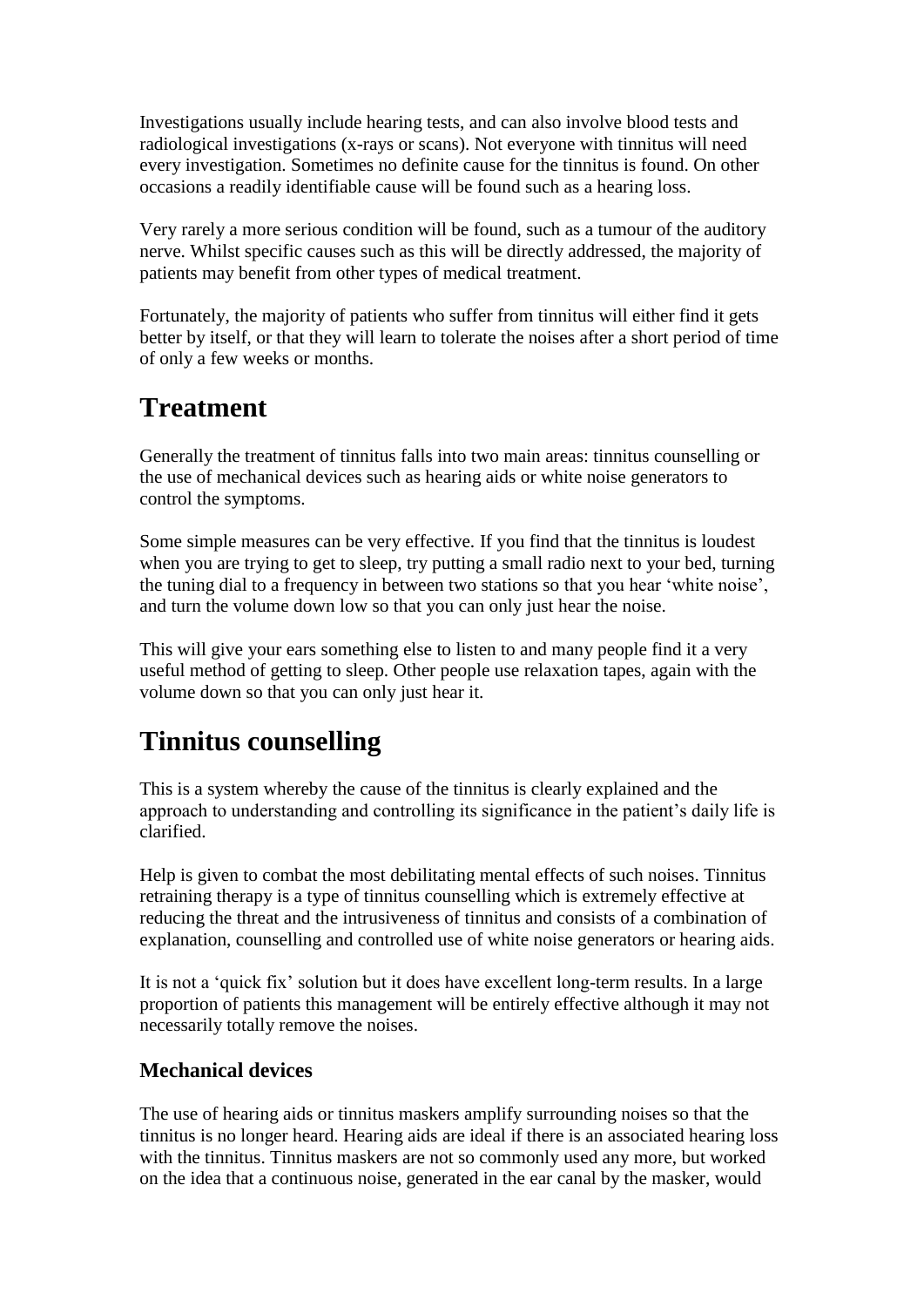Investigations usually include hearing tests, and can also involve blood tests and radiological investigations (x-rays or scans). Not everyone with tinnitus will need every investigation. Sometimes no definite cause for the tinnitus is found. On other occasions a readily identifiable cause will be found such as a hearing loss.

Very rarely a more serious condition will be found, such as a tumour of the auditory nerve. Whilst specific causes such as this will be directly addressed, the majority of patients may benefit from other types of medical treatment.

Fortunately, the majority of patients who suffer from tinnitus will either find it gets better by itself, or that they will learn to tolerate the noises after a short period of time of only a few weeks or months.

## **Treatment**

Generally the treatment of tinnitus falls into two main areas: tinnitus counselling or the use of mechanical devices such as hearing aids or white noise generators to control the symptoms.

Some simple measures can be very effective. If you find that the tinnitus is loudest when you are trying to get to sleep, try putting a small radio next to your bed, turning the tuning dial to a frequency in between two stations so that you hear 'white noise', and turn the volume down low so that you can only just hear the noise.

This will give your ears something else to listen to and many people find it a very useful method of getting to sleep. Other people use relaxation tapes, again with the volume down so that you can only just hear it.

# **Tinnitus counselling**

This is a system whereby the cause of the tinnitus is clearly explained and the approach to understanding and controlling its significance in the patient's daily life is clarified.

Help is given to combat the most debilitating mental effects of such noises. Tinnitus retraining therapy is a type of tinnitus counselling which is extremely effective at reducing the threat and the intrusiveness of tinnitus and consists of a combination of explanation, counselling and controlled use of white noise generators or hearing aids.

It is not a 'quick fix' solution but it does have excellent long-term results. In a large proportion of patients this management will be entirely effective although it may not necessarily totally remove the noises.

### **Mechanical devices**

The use of hearing aids or tinnitus maskers amplify surrounding noises so that the tinnitus is no longer heard. Hearing aids are ideal if there is an associated hearing loss with the tinnitus. Tinnitus maskers are not so commonly used any more, but worked on the idea that a continuous noise, generated in the ear canal by the masker, would